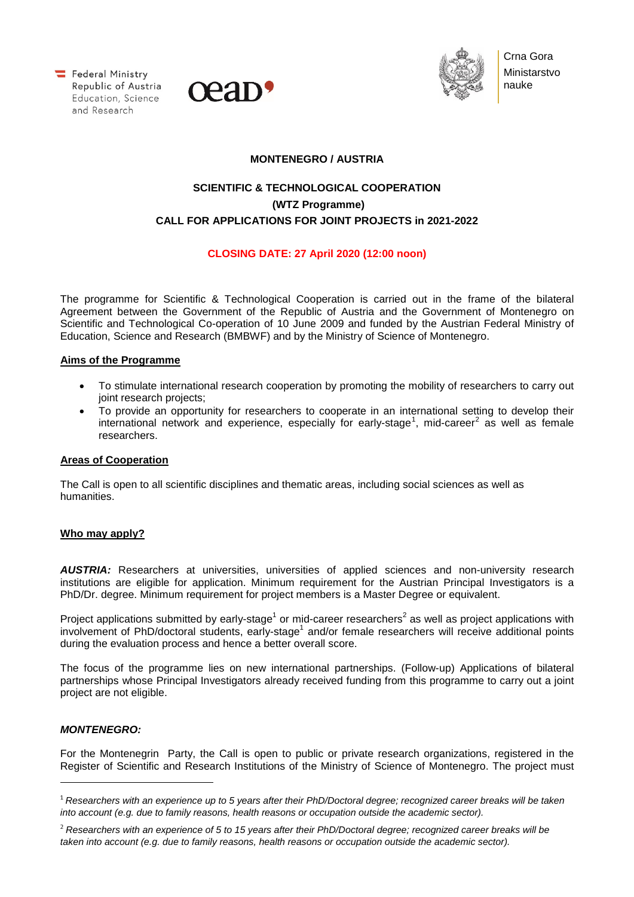Federal Ministry Republic of Austria  Education, Science and Research





Crna Gora Ministarstvo nauke

### **MONTENEGRO / AUSTRIA**

# **SCIENTIFIC & TECHNOLOGICAL COOPERATION (WTZ Programme) CALL FOR APPLICATIONS FOR JOINT PROJECTS in 2021-2022**

## **CLOSING DATE: 27 April 2020 (12:00 noon)**

The programme for Scientific & Technological Cooperation is carried out in the frame of the bilateral Agreement between the Government of the Republic of Austria and the Government of Montenegro on Scientific and Technological Co-operation of 10 June 2009 and funded by the Austrian Federal Ministry of Education, Science and Research (BMBWF) and by the Ministry of Science of Montenegro.

## **Aims of the Programme**

- To stimulate international research cooperation by promoting the mobility of researchers to carry out joint research projects;
- To provide an opportunity for researchers to cooperate in an international setting to develop their international network and experience, especially for early-stage<sup>[1](#page-0-0)</sup>, mid-career<sup>[2](#page-0-1)</sup> as well as female researchers.

#### **Areas of Cooperation**

The Call is open to all scientific disciplines and thematic areas, including social sciences as well as humanities.

#### **Who may apply?**

*AUSTRIA:* Researchers at universities, universities of applied sciences and non-university research institutions are eligible for application. Minimum requirement for the Austrian Principal Investigators is a PhD/Dr. degree. Minimum requirement for project members is a Master Degree or equivalent.

Project applications submitted by early-stage<sup>1</sup> or mid-career researchers<sup>2</sup> as well as project applications with involvement of PhD/doctoral students, early-stage<sup>1</sup> and/or female researchers will receive additional points during the evaluation process and hence a better overall score.

The focus of the programme lies on new international partnerships. (Follow-up) Applications of bilateral partnerships whose Principal Investigators already received funding from this programme to carry out a joint project are not eligible.

#### *MONTENEGRO:*

<u>.</u>

For the Montenegrin Party, the Call is open to public or private research organizations, registered in the Register of Scientific and Research Institutions of the Ministry of Science of Montenegro. The project must

<span id="page-0-0"></span><sup>1</sup> *Researchers with an experience up to 5 years after their PhD/Doctoral degree; recognized career breaks will be taken into account (e.g. due to family reasons, health reasons or occupation outside the academic sector).*

<span id="page-0-1"></span><sup>2</sup> *Researchers with an experience of 5 to 15 years after their PhD/Doctoral degree; recognized career breaks will be taken into account (e.g. due to family reasons, health reasons or occupation outside the academic sector).*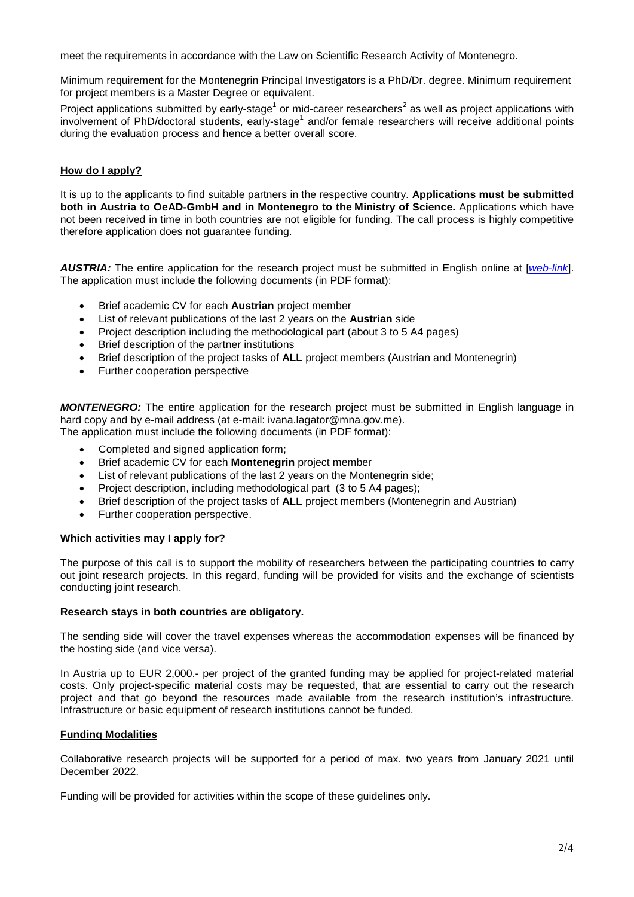meet the requirements in accordance with the Law on Scientific Research Activity of Montenegro.

Minimum requirement for the Montenegrin Principal Investigators is a PhD/Dr. degree. Minimum requirement for project members is a Master Degree or equivalent.

Project applications submitted by early-stage<sup>1</sup> or mid-career researchers<sup>2</sup> as well as project applications with involvement of PhD/doctoral students, early-stage<sup>1</sup> and/or female researchers will receive additional points during the evaluation process and hence a better overall score.

## **How do I apply?**

It is up to the applicants to find suitable partners in the respective country. **Applications must be submitted both in Austria to OeAD-GmbH and in Montenegro to the Ministry of Science.** Applications which have not been received in time in both countries are not eligible for funding. The call process is highly competitive therefore application does not guarantee funding.

*AUSTRIA:* The entire application for the research project must be submitted in English online at [*[web-link](https://asp.sop.co.at/oead/antrag?call=ME2021)*]. The application must include the following documents (in PDF format):

- Brief academic CV for each **Austrian** project member
- List of relevant publications of the last 2 years on the **Austrian** side
- Project description including the methodological part (about 3 to 5 A4 pages)
- Brief description of the partner institutions
- Brief description of the project tasks of **ALL** project members (Austrian and Montenegrin)
- Further cooperation perspective

*MONTENEGRO:* The entire application for the research project must be submitted in English language in hard copy and by e-mail address (at e-mail: ivana.lagator@mna.gov.me). The application must include the following documents (in PDF format):

- Completed and signed application form;
- Brief academic CV for each **Montenegrin** project member
- List of relevant publications of the last 2 years on the Montenegrin side;
- Project description, including methodological part (3 to 5 A4 pages);
- Brief description of the project tasks of **ALL** project members (Montenegrin and Austrian)
- Further cooperation perspective.

#### **Which activities may I apply for?**

The purpose of this call is to support the mobility of researchers between the participating countries to carry out joint research projects. In this regard, funding will be provided for visits and the exchange of scientists conducting joint research.

#### **Research stays in both countries are obligatory.**

The sending side will cover the travel expenses whereas the accommodation expenses will be financed by the hosting side (and vice versa).

In Austria up to EUR 2,000.- per project of the granted funding may be applied for project-related material costs. Only project-specific material costs may be requested, that are essential to carry out the research project and that go beyond the resources made available from the research institution's infrastructure. Infrastructure or basic equipment of research institutions cannot be funded.

#### **Funding Modalities**

Collaborative research projects will be supported for a period of max. two years from January 2021 until December 2022.

Funding will be provided for activities within the scope of these guidelines only.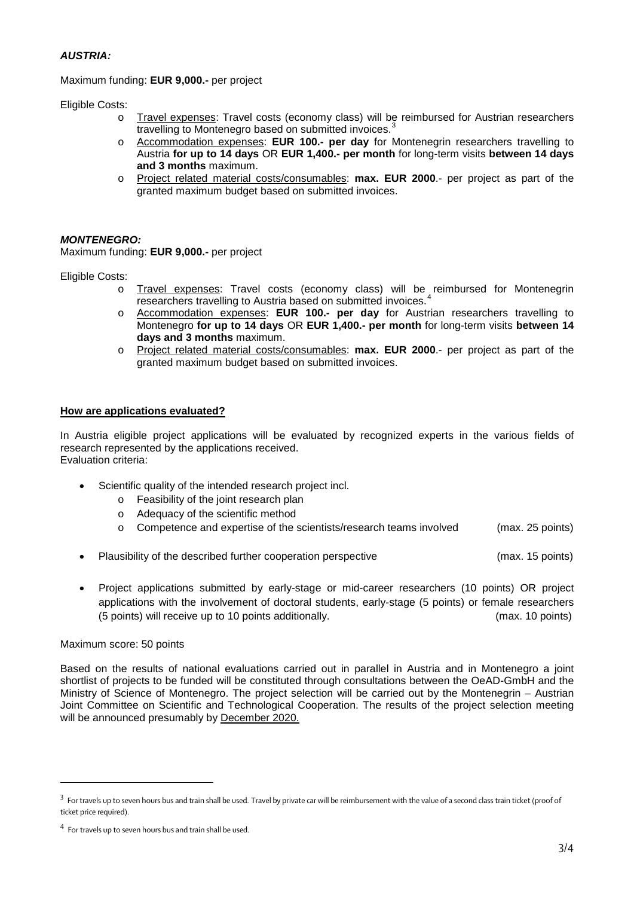#### *AUSTRIA:*

#### Maximum funding: **EUR 9,000.-** per project

Eligible Costs:

- Travel expenses: Travel costs (economy class) will be reimbursed for Austrian researchers travelling to Montenegro based on submitted invoices.
- o Accommodation expenses: **EUR 100.- per day** for Montenegrin researchers travelling to Austria **for up to 14 days** OR **EUR 1,400.- per month** for long-term visits **between 14 days and 3 months** maximum.
- o Project related material costs/consumables: **max. EUR 2000**.- per project as part of the granted maximum budget based on submitted invoices.

#### *MONTENEGRO:*

Maximum funding: **EUR 9,000.-** per project

Eligible Costs:

- o Travel expenses: Travel costs (economy class) will be reimbursed for Montenegrin researchers travelling to Austria based on submitted invoices.
- o Accommodation expenses: **EUR 100.- per day** for Austrian researchers travelling to Montenegro **for up to 14 days** OR **EUR 1,400.- per month** for long-term visits **between 14 days and 3 months** maximum.
- o Project related material costs/consumables: **max. EUR 2000**.- per project as part of the granted maximum budget based on submitted invoices.

#### **How are applications evaluated?**

In Austria eligible project applications will be evaluated by recognized experts in the various fields of research represented by the applications received. Evaluation criteria:

- Scientific quality of the intended research project incl.
	- o Feasibility of the joint research plan
	- o Adequacy of the scientific method
	- o Competence and expertise of the scientists/research teams involved (max. 25 points)
- Plausibility of the described further cooperation perspective example of the state (max, 15 points)
- Project applications submitted by early-stage or mid-career researchers (10 points) OR project applications with the involvement of doctoral students, early-stage (5 points) or female researchers (5 points) will receive up to 10 points additionally. (max. 10 points)

#### Maximum score: 50 points

l,

Based on the results of national evaluations carried out in parallel in Austria and in Montenegro a joint shortlist of projects to be funded will be constituted through consultations between the OeAD-GmbH and the Ministry of Science of Montenegro. The project selection will be carried out by the Montenegrin – Austrian Joint Committee on Scientific and Technological Cooperation. The results of the project selection meeting will be announced presumably by December 2020.

<span id="page-2-0"></span><sup>&</sup>lt;sup>3</sup> For travels up to seven hours bus and train shall be used. Travel by private car will be reimbursement with the value of a second class train ticket (proof of ticket price required).

<span id="page-2-1"></span><sup>4</sup> For travels up to seven hours bus and train shall be used.